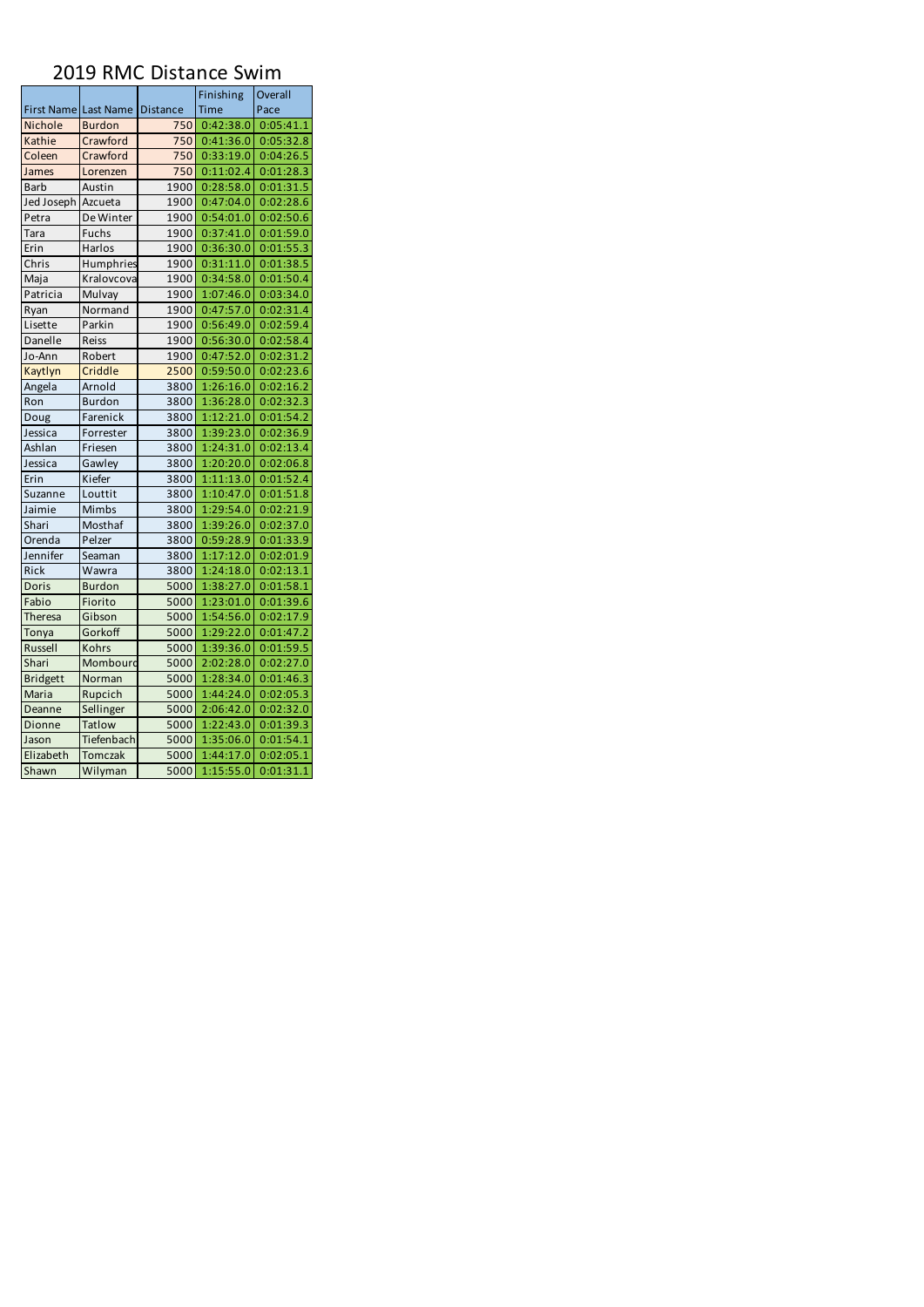|                      |                |          | Finishing   | Overall   |  |
|----------------------|----------------|----------|-------------|-----------|--|
| First Name Last Name |                | Distance | <b>Time</b> | Pace      |  |
| Nichole              | <b>Burdon</b>  | 750      | 0:42:38.0   | 0:05:41.1 |  |
| Kathie               | Crawford       | 750      | 0:41:36.0   | 0:05:32.8 |  |
| Coleen               | Crawford       | 750      | 0:33:19.0   | 0:04:26.5 |  |
| James                | Lorenzen       | 750      | 0:11:02.4   | 0:01:28.3 |  |
| <b>Barb</b>          | Austin         | 1900     | 0:28:58.0   | 0:01:31.5 |  |
| Jed Joseph           | Azcueta        | 1900     | 0:47:04.0   | 0:02:28.6 |  |
| Petra                | De Winter      | 1900     | 0:54:01.0   | 0:02:50.6 |  |
| Tara                 | Fuchs          | 1900     | 0:37:41.0   | 0:01:59.0 |  |
| Erin                 | Harlos         | 1900     | 0:36:30.0   | 0:01:55.3 |  |
| Chris                | Humphries      | 1900     | 0:31:11.0   | 0:01:38.5 |  |
| Maja                 | Kralovcova     | 1900     | 0:34:58.0   | 0:01:50.4 |  |
| Patricia             | Mulvay         | 1900     | 1:07:46.0   | 0:03:34.0 |  |
| Ryan                 | Normand        | 1900     | 0:47:57.0   | 0:02:31.4 |  |
| Lisette              | Parkin         | 1900     | 0:56:49.0   | 0:02:59.4 |  |
| Danelle              | Reiss          | 1900     | 0:56:30.0   | 0:02:58.4 |  |
| Jo-Ann               | Robert         | 1900     | 0:47:52.0   | 0:02:31.2 |  |
| Kaytlyn              | Criddle        | 2500     | 0:59:50.0   | 0:02:23.6 |  |
| Angela               | Arnold         | 3800     | 1:26:16.0   | 0:02:16.2 |  |
| Ron                  | <b>Burdon</b>  | 3800     | 1:36:28.0   | 0:02:32.3 |  |
| Doug                 | Farenick       | 3800     | 1:12:21.0   | 0:01:54.2 |  |
| Jessica              | Forrester      | 3800     | 1:39:23.0   | 0:02:36.9 |  |
| Ashlan               | Friesen        | 3800     | 1:24:31.0   | 0:02:13.4 |  |
| Jessica              | Gawley         | 3800     | 1:20:20.0   | 0:02:06.8 |  |
| Erin                 | Kiefer         | 3800     | 1:11:13.0   | 0:01:52.4 |  |
| Suzanne              | Louttit        | 3800     | 1:10:47.0   | 0:01:51.8 |  |
| Jaimie               | Mimbs          | 3800     | 1:29:54.0   | 0:02:21.9 |  |
| Shari                | Mosthaf        | 3800     | 1:39:26.0   | 0:02:37.0 |  |
| Orenda               | Pelzer         | 3800     | 0:59:28.9   | 0:01:33.9 |  |
| Jennifer             | Seaman         | 3800     | 1:17:12.0   | 0:02:01.9 |  |
| Rick                 | Wawra          | 3800     | 1:24:18.0   | 0:02:13.1 |  |
| Doris                | <b>Burdon</b>  | 5000     | 1:38:27.0   | 0:01:58.1 |  |
| Fabio                | Fiorito        | 5000     | 1:23:01.0   | 0:01:39.6 |  |
| <b>Theresa</b>       | Gibson         | 5000     | 1:54:56.0   | 0:02:17.9 |  |
| Tonya                | Gorkoff        | 5000     | 1:29:22.0   | 0:01:47.2 |  |
| Russell              | Kohrs          | 5000     | 1:39:36.0   | 0:01:59.5 |  |
| Shari                | Mombourd       | 5000     | 2:02:28.0   | 0:02:27.0 |  |
| <b>Bridgett</b>      | Norman         | 5000     | 1:28:34.0   | 0:01:46.3 |  |
| Maria                | Rupcich        | 5000     | 1:44:24.0   | 0:02:05.3 |  |
| Deanne               | Sellinger      | 5000     | 2:06:42.0   | 0:02:32.0 |  |
| Dionne               | Tatlow         | 5000     | 1:22:43.0   | 0:01:39.3 |  |
| Jason                | Tiefenbach     | 5000     | 1:35:06.0   | 0:01:54.1 |  |
| Elizabeth            | <b>Tomczak</b> | 5000     | 1:44:17.0   | 0:02:05.1 |  |
| Shawn                | Wilyman        | 5000     | 1:15:55.0   | 0:01:31.1 |  |

## 2019 RMC Distance Swim